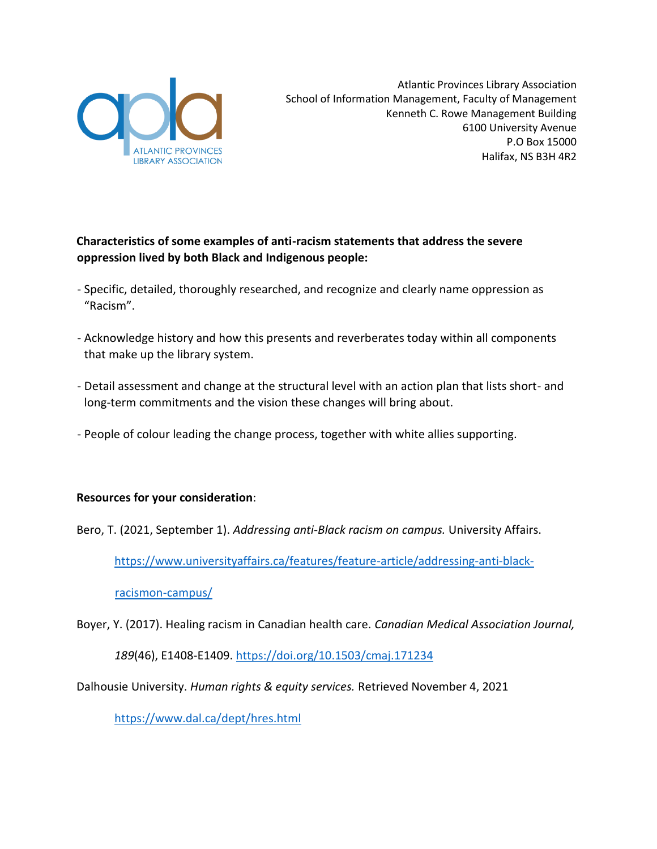

## **Characteristics of some examples of anti-racism statements that address the severe oppression lived by both Black and Indigenous people:**

- Specific, detailed, thoroughly researched, and recognize and clearly name oppression as "Racism".
- Acknowledge history and how this presents and reverberates today within all components that make up the library system.
- Detail assessment and change at the structural level with an action plan that lists short- and long-term commitments and the vision these changes will bring about.
- People of colour leading the change process, together with white allies supporting.

### **Resources for your consideration**:

Bero, T. (2021, September 1). *Addressing anti-Black racism on campus.* University Affairs.

[https://www.universityaffairs.ca/features/feature-article/addressing-anti-black-](https://www.universityaffairs.ca/features/feature-article/addressing-anti-black-racism-on-campus/)

[racismon-campus/](https://www.universityaffairs.ca/features/feature-article/addressing-anti-black-racism-on-campus/)

Boyer, Y. (2017). Healing racism in Canadian health care. *Canadian Medical Association Journal,* 

*189*(46), E1408-E1409.<https://doi.org/10.1503/cmaj.171234>

Dalhousie University. *Human rights & equity services.* Retrieved November 4, 2021

<https://www.dal.ca/dept/hres.html>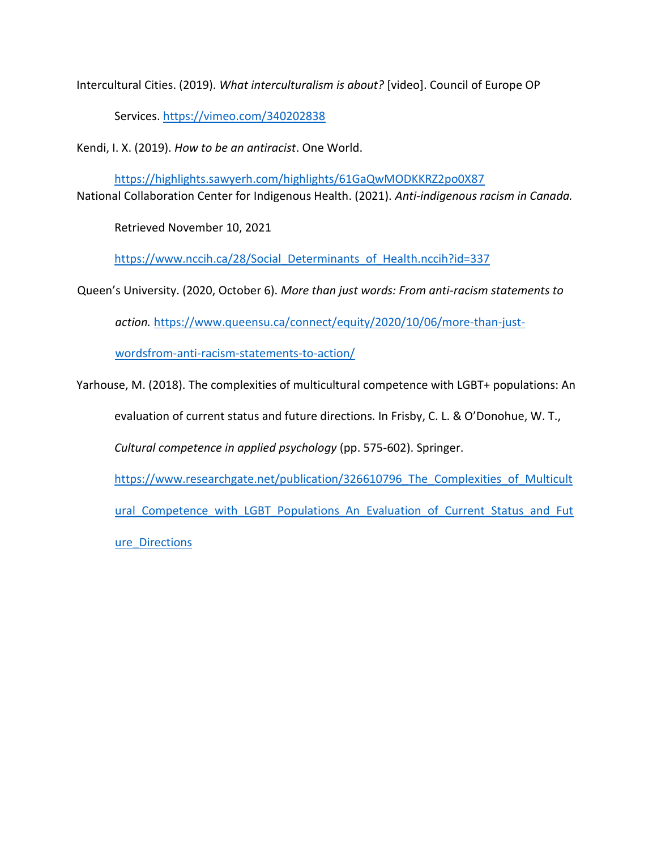Intercultural Cities. (2019). *What interculturalism is about?* [video]. Council of Europe OP

Services.<https://vimeo.com/340202838>

Kendi, I. X. (2019). *How to be an antiracist*. One World.

<https://highlights.sawyerh.com/highlights/61GaQwMODKKRZ2po0X87> National Collaboration Center for Indigenous Health. (2021). *Anti-indigenous racism in Canada.* 

Retrieved November 10, 2021

https://www.nccih.ca/28/Social Determinants of Health.nccih?id=337

Queen's University. (2020, October 6). *More than just words: From anti-racism statements to* 

*action.* [https://www.queensu.ca/connect/equity/2020/10/06/more-than-just-](https://www.queensu.ca/connect/equity/2020/10/06/more-than-just-words-from-anti-racism-statements-to-action/)

[wordsfrom-anti-racism-statements-to-action/](https://www.queensu.ca/connect/equity/2020/10/06/more-than-just-words-from-anti-racism-statements-to-action/)

Yarhouse, M. (2018). The complexities of multicultural competence with LGBT+ populations: An evaluation of current status and future directions. In Frisby, C. L. & O'Donohue, W. T., *Cultural competence in applied psychology* (pp. 575-602). Springer. https://www.researchgate.net/publication/326610796 The Complexities of Multicult ural Competence with LGBT Populations An Evaluation of Current Status and Fut [ure\\_Directions](https://www.researchgate.net/publication/326610796_The_Complexities_of_Multicultural_Competence_with_LGBT_Populations_An_Evaluation_of_Current_Status_and_Future_Directions)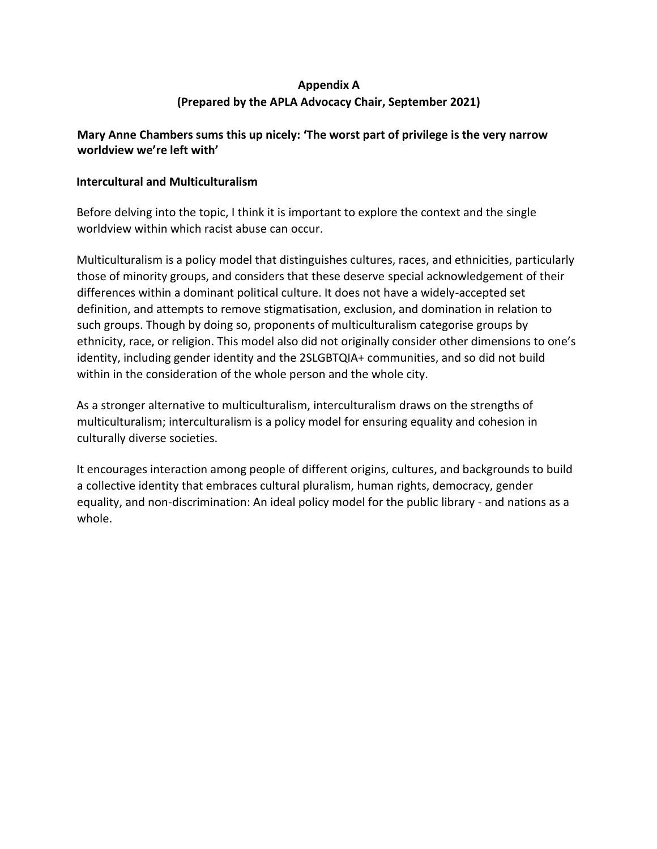# **Appendix A (Prepared by the APLA Advocacy Chair, September 2021)**

### **Mary Anne Chambers sums this up nicely: 'The worst part of privilege is the very narrow worldview we're left with'**

### **Intercultural and Multiculturalism**

Before delving into the topic, I think it is important to explore the context and the single worldview within which racist abuse can occur.

Multiculturalism is a policy model that distinguishes cultures, races, and ethnicities, particularly those of minority groups, and considers that these deserve special acknowledgement of their differences within a dominant political culture. It does not have a widely-accepted set definition, and attempts to remove stigmatisation, exclusion, and domination in relation to such groups. Though by doing so, proponents of multiculturalism categorise groups by ethnicity, race, or religion. This model also did not originally consider other dimensions to one's identity, including gender identity and the 2SLGBTQIA+ communities, and so did not build within in the consideration of the whole person and the whole city.

As a stronger alternative to multiculturalism, interculturalism draws on the strengths of multiculturalism; interculturalism is a policy model for ensuring equality and cohesion in culturally diverse societies.

It encourages interaction among people of different origins, cultures, and backgrounds to build a collective identity that embraces cultural pluralism, human rights, democracy, gender equality, and non-discrimination: An ideal policy model for the public library - and nations as a whole.